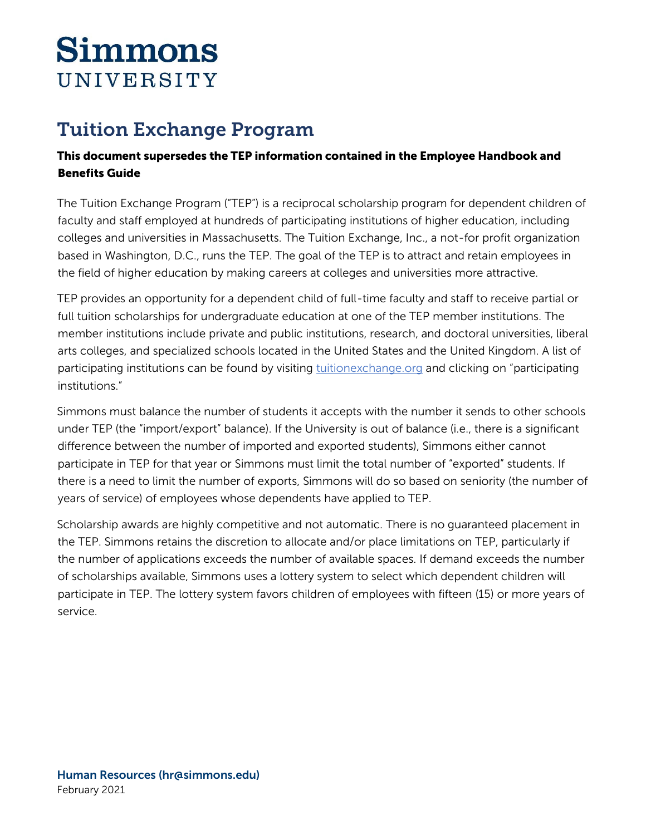# **Simmons** UNIVERSITY

## Tuition Exchange Program

### This document supersedes the TEP information contained in the Employee Handbook and Benefits Guide

The Tuition Exchange Program ("TEP") is a reciprocal scholarship program for dependent children of faculty and staff employed at hundreds of participating institutions of higher education, including colleges and universities in Massachusetts. The Tuition Exchange, Inc., a not-for profit organization based in Washington, D.C., runs the TEP. The goal of the TEP is to attract and retain employees in the field of higher education by making careers at colleges and universities more attractive.

TEP provides an opportunity for a dependent child of full-time faculty and staff to receive partial or full tuition scholarships for undergraduate education at one of the TEP member institutions. The member institutions include private and public institutions, research, and doctoral universities, liberal arts colleges, and specialized schools located in the United States and the United Kingdom. A list of participating institutions can be found by visiting **tuitionexchange.org** and clicking on "participating institutions."

Simmons must balance the number of students it accepts with the number it sends to other schools under TEP (the "import/export" balance). If the University is out of balance (i.e., there is a significant difference between the number of imported and exported students), Simmons either cannot participate in TEP for that year or Simmons must limit the total number of "exported" students. If there is a need to limit the number of exports, Simmons will do so based on seniority (the number of years of service) of employees whose dependents have applied to TEP.

Scholarship awards are highly competitive and not automatic. There is no guaranteed placement in the TEP. Simmons retains the discretion to allocate and/or place limitations on TEP, particularly if the number of applications exceeds the number of available spaces. If demand exceeds the number of scholarships available, Simmons uses a lottery system to select which dependent children will participate in TEP. The lottery system favors children of employees with fifteen (15) or more years of service.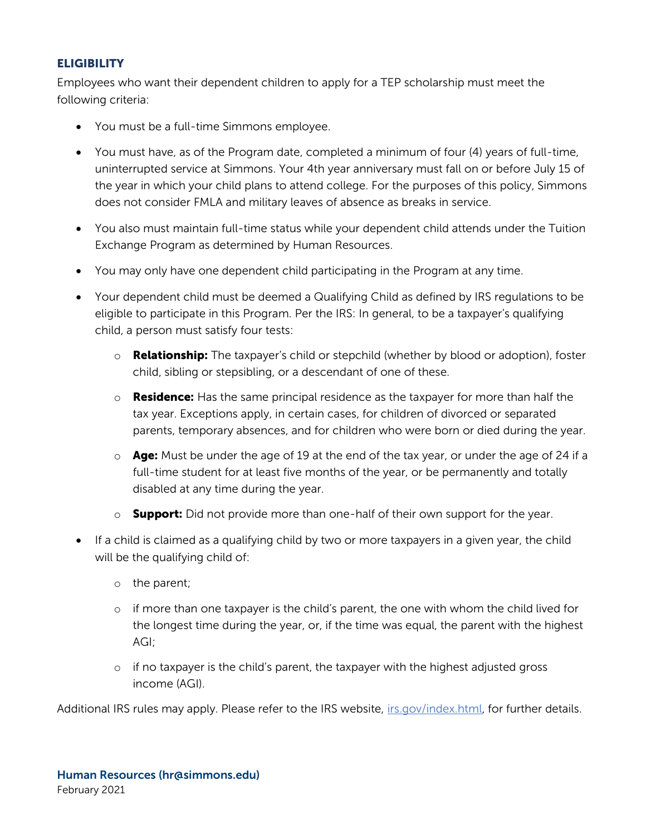#### **ELIGIBILITY**

Employees who want their dependent children to apply for a TEP scholarship must meet the following criteria:

- You must be a full-time Simmons employee.
- You must have, as of the Program date, completed a minimum of four (4) years of full-time, uninterrupted service at Simmons. Your 4th year anniversary must fall on or before July 15 of the year in which your child plans to attend college. For the purposes of this policy, Simmons does not consider FMLA and military leaves of absence as breaks in service.
- You also must maintain full-time status while your dependent child attends under the Tuition Exchange Program as determined by Human Resources.
- You may only have one dependent child participating in the Program at any time.
- Your dependent child must be deemed a Qualifying Child as defined by IRS regulations to be eligible to participate in this Program. Per the IRS: In general, to be a taxpayer's qualifying child, a person must satisfy four tests:
	- $\circ$  **Relationship:** The taxpayer's child or stepchild (whether by blood or adoption), foster child, sibling or stepsibling, or a descendant of one of these.
	- $\circ$  **Residence:** Has the same principal residence as the taxpayer for more than half the tax year. Exceptions apply, in certain cases, for children of divorced or separated parents, temporary absences, and for children who were born or died during the year.
	- $\circ$  **Age:** Must be under the age of 19 at the end of the tax year, or under the age of 24 if a full-time student for at least five months of the year, or be permanently and totally disabled at any time during the year.
	- $\circ$  **Support:** Did not provide more than one-half of their own support for the year.
- If a child is claimed as a qualifying child by two or more taxpayers in a given year, the child will be the qualifying child of:
	- o the parent;
	- o if more than one taxpayer is the child's parent, the one with whom the child lived for the longest time during the year, or, if the time was equal, the parent with the highest AGI;
	- $\circ$  if no taxpayer is the child's parent, the taxpayer with the highest adjusted gross income (AGI).

Additional IRS rules may apply. Please refer to the IRS website, [irs.gov/index.html,](http://irs.gov/index.html) for further details.